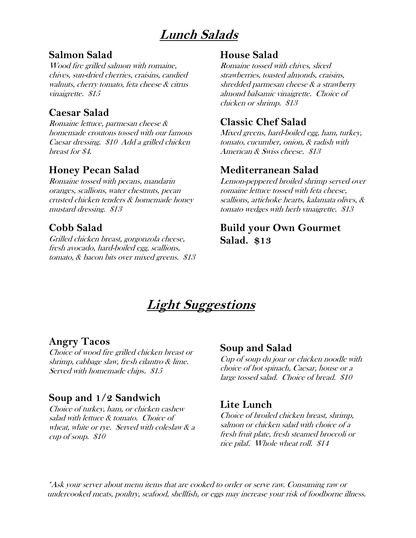# **Lunch Salads**

#### **Salmon Salad**

Wood fire grilled salmon with romaine, chives, sun-dried cherries, craisins, candied walnuts, cherry tomato, feta cheese & citrus vinaigrette. \$15

#### **Caesar Salad**

Romaine lettuce, parmesan cheese & homemade croutons tossed with our famous Caesar dressing. \$10 Add a grilled chicken breast for \$4.

### **Honey Pecan Salad**

Romaine tossed with pecans, mandarin oranges, scallions, water chestnuts, pecan crusted chicken tenders & homemade honey mustard dressing. \$13

## **Cobb Salad**

Grilled chicken breast, gorgonzola cheese, fresh avocado, hard-boiled egg, scallions, tomato, & bacon bits over mixed greens. \$13

#### **House Salad**

Romaine tossed with chives, sliced strawberries, toasted almonds, craisins, shredded parmesan cheese & a strawberry almond balsamic vinaigrette. Choice of chicken or shrimp. \$13

## **Classic Chef Salad**

Mixed greens, hard-boiled egg, ham, turkey, tomato, cucumber, onion, & radish with American & Swiss cheese. \$13

### **Mediterranean Salad**

Lemon-peppered broiled shrimp served over romaine lettuce tossed with feta cheese, scallions, artichoke hearts, kalamata olives, & tomato wedges with herb vinaigrette. \$13

## **Build your Own Gourmet Salad. \$13**

# **Light Suggestions**

#### **Angry Tacos**

Choice of wood fire grilled chicken breast or shrimp, cabbage slaw, fresh cilantro & lime. Served with homemade chips. \$15

#### **Soup and 1/2 Sandwich**

Choice of turkey, ham, or chicken cashew salad with lettuce & tomato. Choice of wheat, white or rye. Served with coleslaw & a cup of soup. \$10

#### **Soup and Salad**

Cup of soup du jour or chicken noodle with choice of hot spinach, Caesar, house or a large tossed salad. Choice of bread. \$10

#### **Lite Lunch**

Choice of broiled chicken breast, shrimp, salmon or chicken salad with choice of a fresh fruit plate, fresh steamed broccoli or rice pilaf. Whole wheat roll. \$14

\*Ask your server about menu items that are cooked to order or serve raw. Consuming raw or undercooked meats, poultry, seafood, shellfish, or eggs may increase your risk of foodborne illness.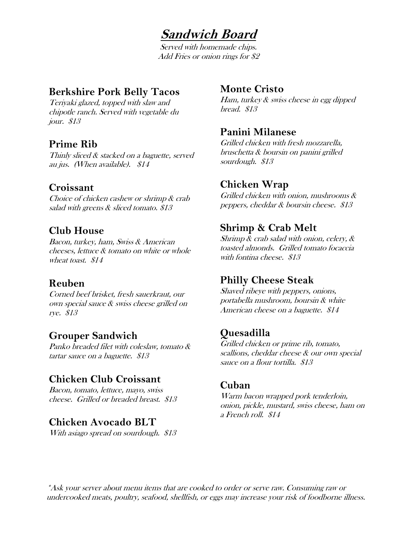## **Sandwich Board**

Served with homemade chips. Add Fries or onion rings for \$2

#### **Berkshire Pork Belly Tacos**

Teriyaki glazed, topped with slaw and chipotle ranch. Served with vegetable du jour. \$13

## **Prime Rib**

Thinly sliced & stacked on a baguette, served au jus. (When available). \$14

### **Croissant**

Choice of chicken cashew or shrimp & crab salad with greens & sliced tomato. \$13

### **Club House**

Bacon, turkey, ham, Swiss & American cheeses, lettuce & tomato on white or whole wheat toast. \$14

#### **Reuben**

Corned beef brisket, fresh sauerkraut, our own special sauce & swiss cheese grilled on rye. \$13

#### **Grouper Sandwich**

Panko breaded filet with coleslaw, tomato & tartar sauce on a baguette. \$13

## **Chicken Club Croissant**

Bacon, tomato, lettuce, mayo, swiss cheese. Grilled or breaded breast. \$13

#### **Chicken Avocado BLT**

With asiago spread on sourdough. \$13

#### **Monte Cristo**

Ham, turkey & swiss cheese in egg dipped bread. \$13

#### **Panini Milanese**

Grilled chicken with fresh mozzarella, bruschetta & boursin on panini grilled sourdough. \$13

#### **Chicken Wrap**

Grilled chicken with onion, mushrooms & peppers, cheddar & boursin cheese. \$13

### **Shrimp & Crab Melt**

Shrimp & crab salad with onion, celery, & toasted almonds. Grilled tomato focaccia with fontina cheese. \$13

#### **Philly Cheese Steak**

Shaved ribeye with peppers, onions, portabella mushroom, boursin & white American cheese on a baguette. \$14

## **Quesadilla**

Grilled chicken or prime rib, tomato, scallions, cheddar cheese & our own special sauce on a flour tortilla. \$13

#### **Cuban**

Warm bacon wrapped pork tenderloin, onion, pickle, mustard, swiss cheese, ham on a French roll. \$14

\*Ask your server about menu items that are cooked to order or serve raw. Consuming raw or undercooked meats, poultry, seafood, shellfish, or eggs may increase your risk of foodborne illness.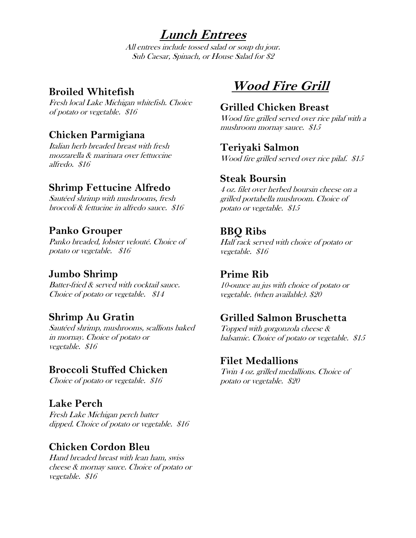**Lunch Entrees**

All entrees include tossed salad or soup du jour. Sub Caesar, Spinach, or House Salad for \$2

#### **Broiled Whitefish**

Fresh local Lake Michigan whitefish. Choice of potato or vegetable. \$16

## **Chicken Parmigiana**

Italian herb breaded breast with fresh mozzarella & marinara over fettuccine alfredo. \$16

### **Shrimp Fettucine Alfredo**

Sautéed shrimp with mushrooms, fresh broccoli & fettucine in alfredo sauce. \$16

### **Panko Grouper**

Panko breaded, lobster velouté. Choice of potato or vegetable. \$16

#### **Jumbo Shrimp**

Batter-fried & served with cocktail sauce. Choice of potato or vegetable. \$14

#### **Shrimp Au Gratin**

Sautéed shrimp, mushrooms, scallions baked in mornay. Choice of potato or vegetable. \$16

#### **Broccoli Stuffed Chicken**

Choice of potato or vegetable. \$16

## **Lake Perch**

Fresh Lake Michigan perch batter dipped. Choice of potato or vegetable. \$16

#### **Chicken Cordon Bleu**

Hand breaded breast with lean ham, swiss cheese & mornay sauce. Choice of potato or vegetable. \$16

# **Wood Fire Grill**

#### **Grilled Chicken Breast**

Wood fire grilled served over rice pilaf with a mushroom mornay sauce. \$15

#### **Teriyaki Salmon**

Wood fire grilled served over rice pilaf. \$15

#### **Steak Boursin**

4 oz. filet over herbed boursin cheese on a grilled portabella mushroom. Choice of potato or vegetable. \$15

#### **BBQ Ribs**

Half rack served with choice of potato or vegetable. \$16

#### **Prime Rib**

10-ounce au jus with choice of potato or vegetable. (when available). \$20

## **Grilled Salmon Bruschetta**

Topped with gorgonzola cheese & balsamic. Choice of potato or vegetable. \$15

#### **Filet Medallions**

Twin 4 oz. grilled medallions. Choice of potato or vegetable. \$20